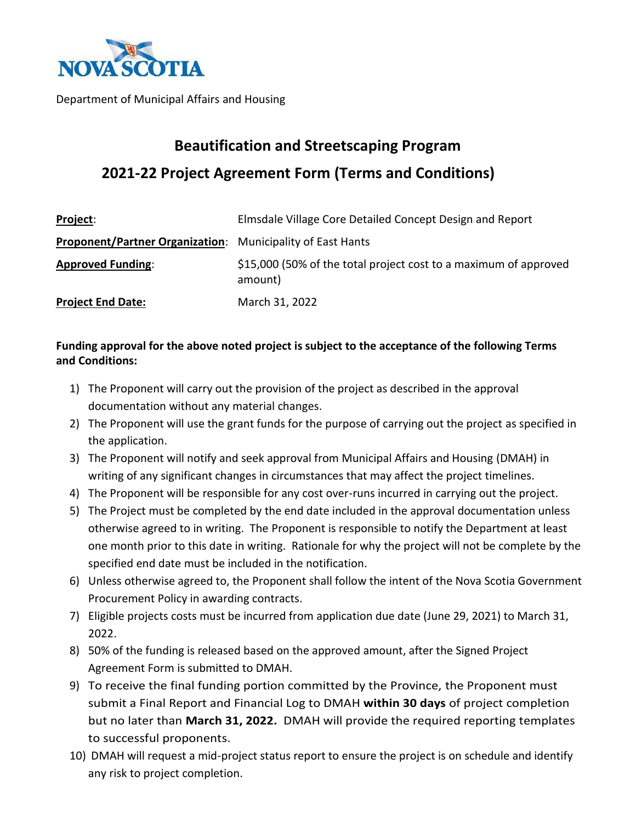

Department of Municipal Affairs and Housing

## **Beautification and Streetscaping Program 2021-22 Project Agreement Form (Terms and Conditions)**

| Project:                                                          | Elmsdale Village Core Detailed Concept Design and Report                    |
|-------------------------------------------------------------------|-----------------------------------------------------------------------------|
| <b>Proponent/Partner Organization:</b> Municipality of East Hants |                                                                             |
| <b>Approved Funding:</b>                                          | \$15,000 (50% of the total project cost to a maximum of approved<br>amount) |
| <b>Project End Date:</b>                                          | March 31, 2022                                                              |

## **Funding approval for the above noted project is subject to the acceptance of the following Terms and Conditions:**

- 1) The Proponent will carry out the provision of the project as described in the approval documentation without any material changes.
- 2) The Proponent will use the grant funds for the purpose of carrying out the project as specified in the application.
- 3) The Proponent will notify and seek approval from Municipal Affairs and Housing (DMAH) in writing of any significant changes in circumstances that may affect the project timelines.
- 4) The Proponent will be responsible for any cost over-runs incurred in carrying out the project.
- 5) The Project must be completed by the end date included in the approval documentation unless otherwise agreed to in writing. The Proponent is responsible to notify the Department at least one month prior to this date in writing. Rationale for why the project will not be complete by the specified end date must be included in the notification.
- 6) Unless otherwise agreed to, the Proponent shall follow the intent of the Nova Scotia Government Procurement Policy in awarding contracts.
- 7) Eligible projects costs must be incurred from application due date (June 29, 2021) to March 31, 2022.
- 8) 50% of the funding is released based on the approved amount, after the Signed Project Agreement Form is submitted to DMAH.
- 9) To receive the final funding portion committed by the Province, the Proponent must submit a Final Report and Financial Log to DMAH **within 30 days** of project completion but no later than **March 31, 2022.** DMAH will provide the required reporting templates to successful proponents.
- 10) DMAH will request a mid-project status report to ensure the project is on schedule and identify any risk to project completion.